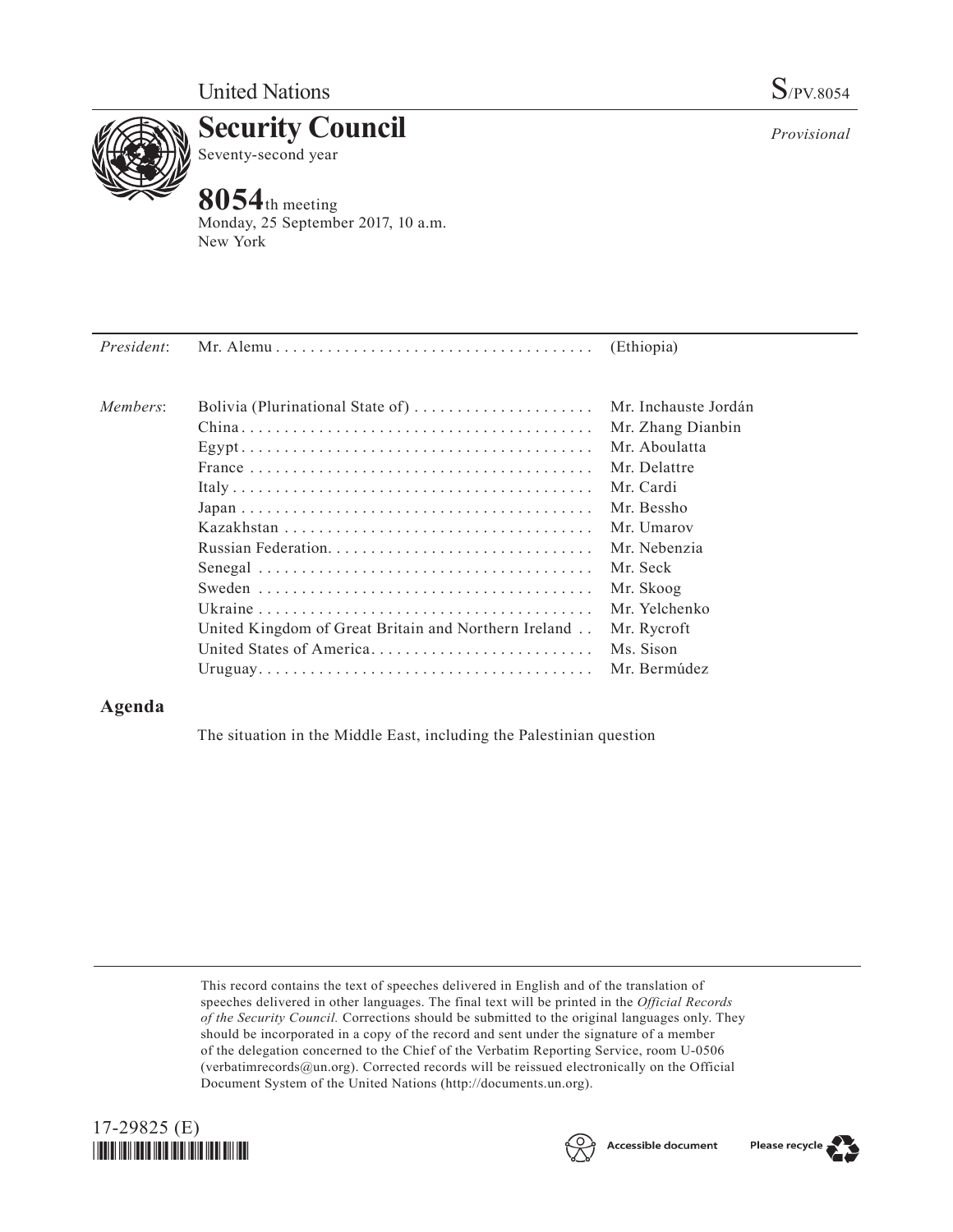

**Security Council** Seventy-second year

## **8054**th meeting

Monday, 25 September 2017, 10 a.m. New York

| President: |                                                      | (Ethiopia)           |
|------------|------------------------------------------------------|----------------------|
| Members:   | Bolivia (Plurinational State of)                     | Mr. Inchauste Jordán |
|            |                                                      | Mr. Zhang Dianbin    |
|            |                                                      | Mr. Aboulatta        |
|            |                                                      | Mr. Delattre         |
|            |                                                      | Mr. Cardi            |
|            |                                                      | Mr. Bessho           |
|            |                                                      | Mr. Umarov           |
|            |                                                      | Mr. Nebenzia         |
|            |                                                      | Mr. Seck             |
|            |                                                      | Mr. Skoog            |
|            |                                                      | Mr. Yelchenko        |
|            | United Kingdom of Great Britain and Northern Ireland | Mr. Rycroft          |
|            | United States of America                             | Ms. Sison            |
|            |                                                      | Mr. Bermúdez         |

## **Agenda**

The situation in the Middle East, including the Palestinian question

This record contains the text of speeches delivered in English and of the translation of speeches delivered in other languages. The final text will be printed in the *Official Records of the Security Council.* Corrections should be submitted to the original languages only. They should be incorporated in a copy of the record and sent under the signature of a member of the delegation concerned to the Chief of the Verbatim Reporting Service, room U-0506 (verbatimrecords $@un.org$ ). Corrected records will be reissued electronically on the Official Document System of the United Nations [\(http://documents.un.org\)](http://documents.un.org).







*Provisional*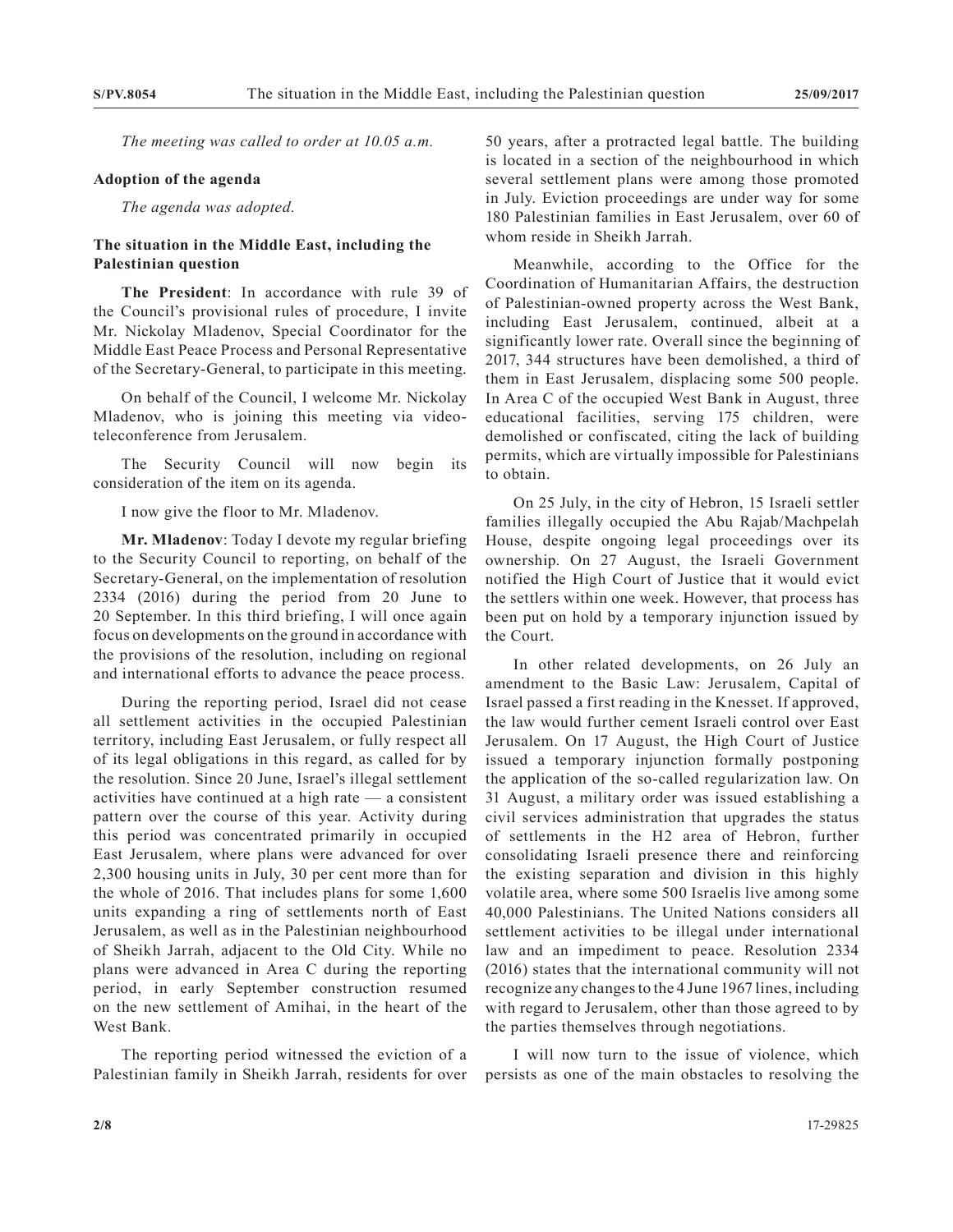*The meeting was called to order at 10.05 a.m.*

## **Adoption of the agenda**

*The agenda was adopted.*

## **The situation in the Middle East, including the Palestinian question**

**The President**: In accordance with rule 39 of the Council's provisional rules of procedure, I invite Mr. Nickolay Mladenov, Special Coordinator for the Middle East Peace Process and Personal Representative of the Secretary-General, to participate in this meeting.

On behalf of the Council, I welcome Mr. Nickolay Mladenov, who is joining this meeting via videoteleconference from Jerusalem.

The Security Council will now begin its consideration of the item on its agenda.

I now give the floor to Mr. Mladenov.

**Mr. Mladenov**: Today I devote my regular briefing to the Security Council to reporting, on behalf of the Secretary-General, on the implementation of resolution 2334 (2016) during the period from 20 June to 20 September. In this third briefing, I will once again focus on developments on the ground in accordance with the provisions of the resolution, including on regional and international efforts to advance the peace process.

During the reporting period, Israel did not cease all settlement activities in the occupied Palestinian territory, including East Jerusalem, or fully respect all of its legal obligations in this regard, as called for by the resolution. Since 20 June, Israel's illegal settlement activities have continued at a high rate — a consistent pattern over the course of this year. Activity during this period was concentrated primarily in occupied East Jerusalem, where plans were advanced for over 2,300 housing units in July, 30 per cent more than for the whole of 2016. That includes plans for some 1,600 units expanding a ring of settlements north of East Jerusalem, as well as in the Palestinian neighbourhood of Sheikh Jarrah, adjacent to the Old City. While no plans were advanced in Area C during the reporting period, in early September construction resumed on the new settlement of Amihai, in the heart of the West Bank.

The reporting period witnessed the eviction of a Palestinian family in Sheikh Jarrah, residents for over 50 years, after a protracted legal battle. The building is located in a section of the neighbourhood in which several settlement plans were among those promoted in July. Eviction proceedings are under way for some 180 Palestinian families in East Jerusalem, over 60 of whom reside in Sheikh Jarrah.

Meanwhile, according to the Office for the Coordination of Humanitarian Affairs, the destruction of Palestinian-owned property across the West Bank, including East Jerusalem, continued, albeit at a significantly lower rate. Overall since the beginning of 2017, 344 structures have been demolished, a third of them in East Jerusalem, displacing some 500 people. In Area C of the occupied West Bank in August, three educational facilities, serving 175 children, were demolished or confiscated, citing the lack of building permits, which are virtually impossible for Palestinians to obtain.

On 25 July, in the city of Hebron, 15 Israeli settler families illegally occupied the Abu Rajab/Machpelah House, despite ongoing legal proceedings over its ownership. On 27 August, the Israeli Government notified the High Court of Justice that it would evict the settlers within one week. However, that process has been put on hold by a temporary injunction issued by the Court.

In other related developments, on 26 July an amendment to the Basic Law: Jerusalem, Capital of Israel passed a first reading in the Knesset. If approved, the law would further cement Israeli control over East Jerusalem. On 17 August, the High Court of Justice issued a temporary injunction formally postponing the application of the so-called regularization law. On 31 August, a military order was issued establishing a civil services administration that upgrades the status of settlements in the H2 area of Hebron, further consolidating Israeli presence there and reinforcing the existing separation and division in this highly volatile area, where some 500 Israelis live among some 40,000 Palestinians. The United Nations considers all settlement activities to be illegal under international law and an impediment to peace. Resolution 2334 (2016) states that the international community will not recognize any changes to the 4 June 1967 lines, including with regard to Jerusalem, other than those agreed to by the parties themselves through negotiations.

I will now turn to the issue of violence, which persists as one of the main obstacles to resolving the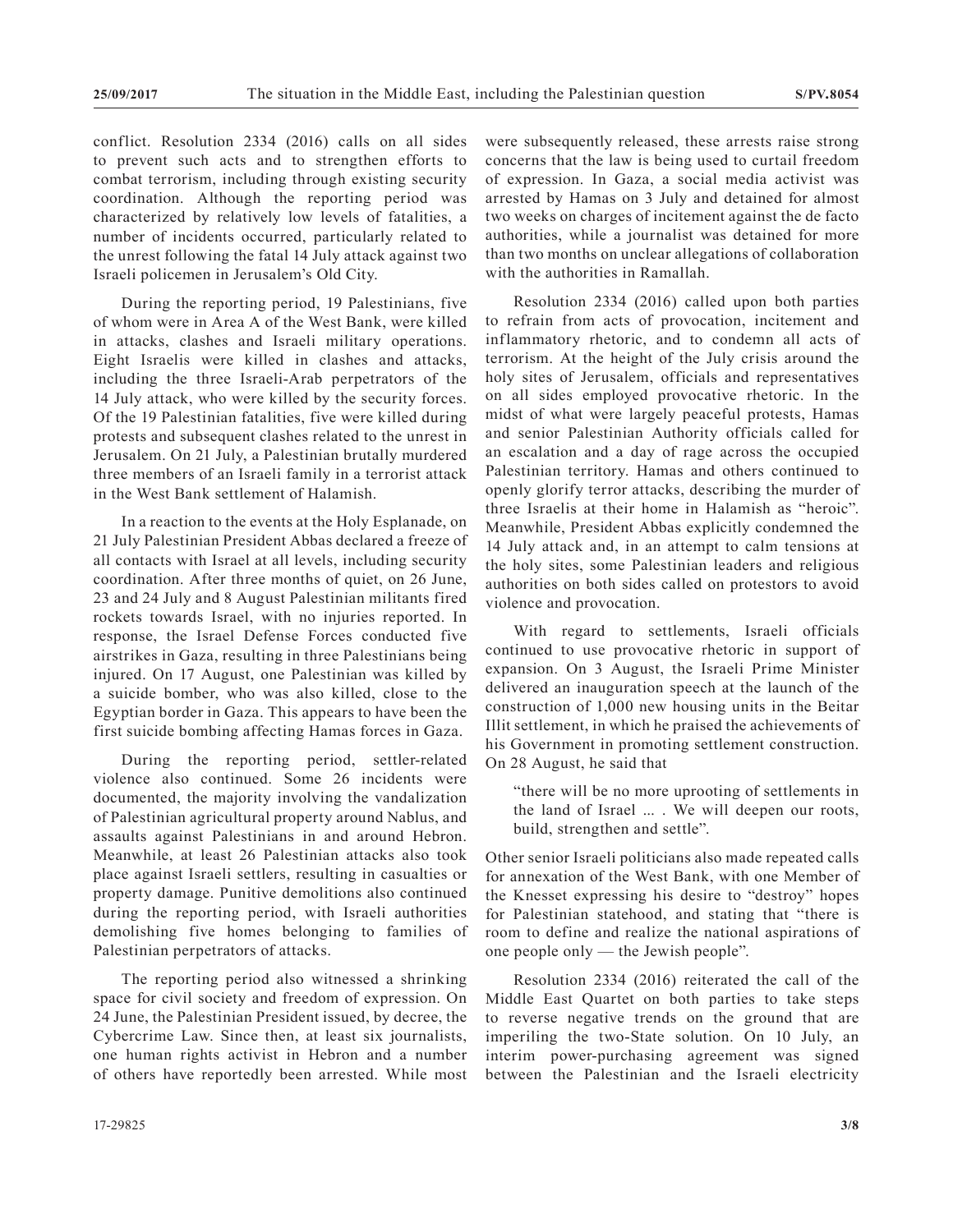conflict. Resolution 2334 (2016) calls on all sides to prevent such acts and to strengthen efforts to combat terrorism, including through existing security coordination. Although the reporting period was characterized by relatively low levels of fatalities, a number of incidents occurred, particularly related to the unrest following the fatal 14 July attack against two Israeli policemen in Jerusalem's Old City.

During the reporting period, 19 Palestinians, five of whom were in Area A of the West Bank, were killed in attacks, clashes and Israeli military operations. Eight Israelis were killed in clashes and attacks, including the three Israeli-Arab perpetrators of the 14 July attack, who were killed by the security forces. Of the 19 Palestinian fatalities, five were killed during protests and subsequent clashes related to the unrest in Jerusalem. On 21 July, a Palestinian brutally murdered three members of an Israeli family in a terrorist attack in the West Bank settlement of Halamish.

In a reaction to the events at the Holy Esplanade, on 21 July Palestinian President Abbas declared a freeze of all contacts with Israel at all levels, including security coordination. After three months of quiet, on 26 June, 23 and 24 July and 8 August Palestinian militants fired rockets towards Israel, with no injuries reported. In response, the Israel Defense Forces conducted five airstrikes in Gaza, resulting in three Palestinians being injured. On 17 August, one Palestinian was killed by a suicide bomber, who was also killed, close to the Egyptian border in Gaza. This appears to have been the first suicide bombing affecting Hamas forces in Gaza.

During the reporting period, settler-related violence also continued. Some 26 incidents were documented, the majority involving the vandalization of Palestinian agricultural property around Nablus, and assaults against Palestinians in and around Hebron. Meanwhile, at least 26 Palestinian attacks also took place against Israeli settlers, resulting in casualties or property damage. Punitive demolitions also continued during the reporting period, with Israeli authorities demolishing five homes belonging to families of Palestinian perpetrators of attacks.

The reporting period also witnessed a shrinking space for civil society and freedom of expression. On 24 June, the Palestinian President issued, by decree, the Cybercrime Law. Since then, at least six journalists, one human rights activist in Hebron and a number of others have reportedly been arrested. While most were subsequently released, these arrests raise strong concerns that the law is being used to curtail freedom of expression. In Gaza, a social media activist was arrested by Hamas on 3 July and detained for almost two weeks on charges of incitement against the de facto authorities, while a journalist was detained for more than two months on unclear allegations of collaboration with the authorities in Ramallah.

Resolution 2334 (2016) called upon both parties to refrain from acts of provocation, incitement and inflammatory rhetoric, and to condemn all acts of terrorism. At the height of the July crisis around the holy sites of Jerusalem, officials and representatives on all sides employed provocative rhetoric. In the midst of what were largely peaceful protests, Hamas and senior Palestinian Authority officials called for an escalation and a day of rage across the occupied Palestinian territory. Hamas and others continued to openly glorify terror attacks, describing the murder of three Israelis at their home in Halamish as "heroic". Meanwhile, President Abbas explicitly condemned the 14 July attack and, in an attempt to calm tensions at the holy sites, some Palestinian leaders and religious authorities on both sides called on protestors to avoid violence and provocation.

With regard to settlements, Israeli officials continued to use provocative rhetoric in support of expansion. On 3 August, the Israeli Prime Minister delivered an inauguration speech at the launch of the construction of 1,000 new housing units in the Beitar Illit settlement, in which he praised the achievements of his Government in promoting settlement construction. On 28 August, he said that

"there will be no more uprooting of settlements in the land of Israel ... . We will deepen our roots, build, strengthen and settle".

Other senior Israeli politicians also made repeated calls for annexation of the West Bank, with one Member of the Knesset expressing his desire to "destroy" hopes for Palestinian statehood, and stating that "there is room to define and realize the national aspirations of one people only — the Jewish people".

Resolution 2334 (2016) reiterated the call of the Middle East Quartet on both parties to take steps to reverse negative trends on the ground that are imperiling the two-State solution. On 10 July, an interim power-purchasing agreement was signed between the Palestinian and the Israeli electricity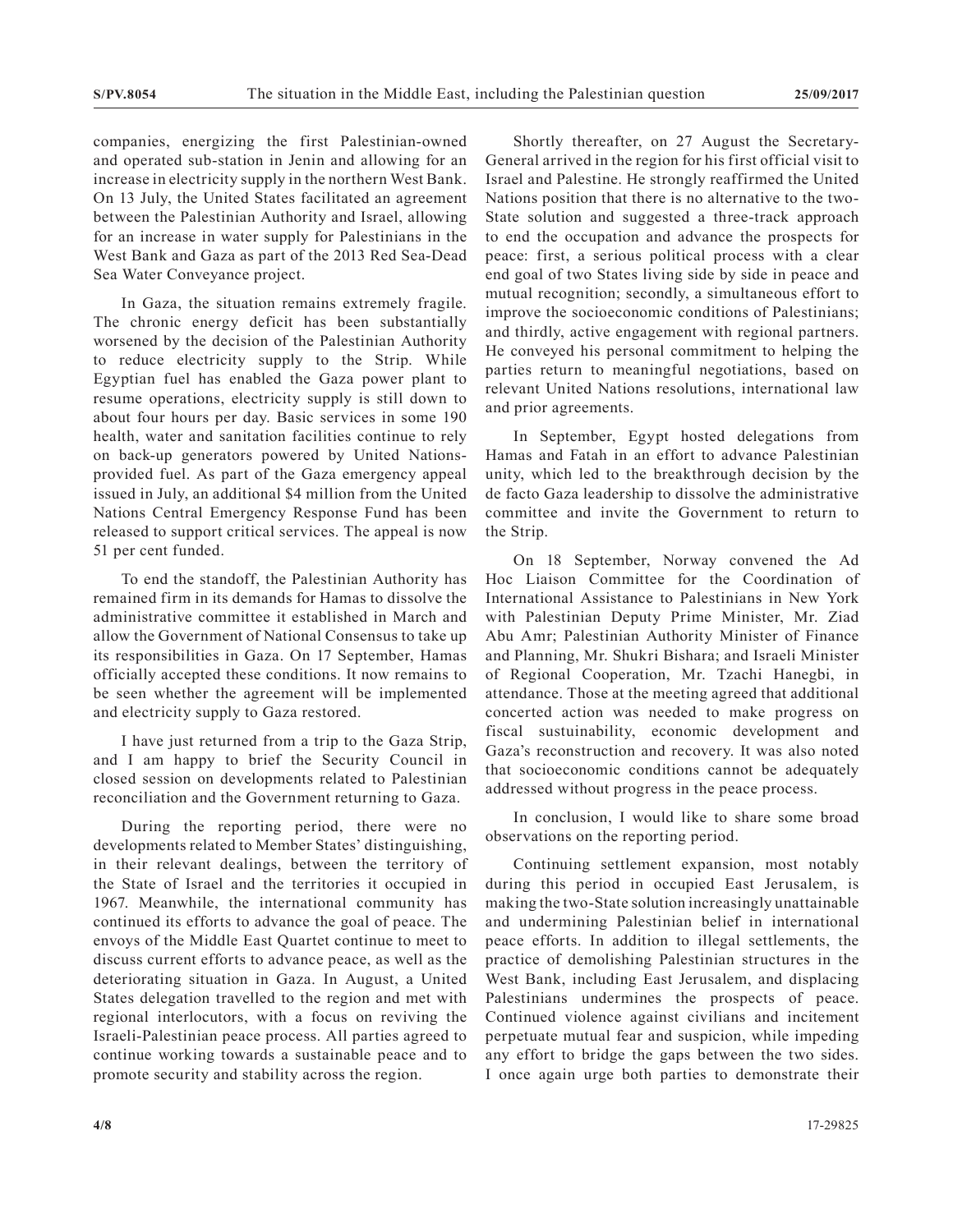companies, energizing the first Palestinian-owned and operated sub-station in Jenin and allowing for an increase in electricity supply in the northern West Bank. On 13 July, the United States facilitated an agreement between the Palestinian Authority and Israel, allowing for an increase in water supply for Palestinians in the West Bank and Gaza as part of the 2013 Red Sea-Dead Sea Water Conveyance project.

In Gaza, the situation remains extremely fragile. The chronic energy deficit has been substantially worsened by the decision of the Palestinian Authority to reduce electricity supply to the Strip. While Egyptian fuel has enabled the Gaza power plant to resume operations, electricity supply is still down to about four hours per day. Basic services in some 190 health, water and sanitation facilities continue to rely on back-up generators powered by United Nationsprovided fuel. As part of the Gaza emergency appeal issued in July, an additional \$4 million from the United Nations Central Emergency Response Fund has been released to support critical services. The appeal is now 51 per cent funded.

To end the standoff, the Palestinian Authority has remained firm in its demands for Hamas to dissolve the administrative committee it established in March and allow the Government of National Consensus to take up its responsibilities in Gaza. On 17 September, Hamas officially accepted these conditions. It now remains to be seen whether the agreement will be implemented and electricity supply to Gaza restored.

I have just returned from a trip to the Gaza Strip, and I am happy to brief the Security Council in closed session on developments related to Palestinian reconciliation and the Government returning to Gaza.

During the reporting period, there were no developments related to Member States' distinguishing, in their relevant dealings, between the territory of the State of Israel and the territories it occupied in 1967. Meanwhile, the international community has continued its efforts to advance the goal of peace. The envoys of the Middle East Quartet continue to meet to discuss current efforts to advance peace, as well as the deteriorating situation in Gaza. In August, a United States delegation travelled to the region and met with regional interlocutors, with a focus on reviving the Israeli-Palestinian peace process. All parties agreed to continue working towards a sustainable peace and to promote security and stability across the region.

Shortly thereafter, on 27 August the Secretary-General arrived in the region for his first official visit to Israel and Palestine. He strongly reaffirmed the United Nations position that there is no alternative to the two-State solution and suggested a three-track approach to end the occupation and advance the prospects for peace: first, a serious political process with a clear end goal of two States living side by side in peace and mutual recognition; secondly, a simultaneous effort to improve the socioeconomic conditions of Palestinians; and thirdly, active engagement with regional partners. He conveyed his personal commitment to helping the parties return to meaningful negotiations, based on relevant United Nations resolutions, international law and prior agreements.

In September, Egypt hosted delegations from Hamas and Fatah in an effort to advance Palestinian unity, which led to the breakthrough decision by the de facto Gaza leadership to dissolve the administrative committee and invite the Government to return to the Strip.

On 18 September, Norway convened the Ad Hoc Liaison Committee for the Coordination of International Assistance to Palestinians in New York with Palestinian Deputy Prime Minister, Mr. Ziad Abu Amr; Palestinian Authority Minister of Finance and Planning, Mr. Shukri Bishara; and Israeli Minister of Regional Cooperation, Mr. Tzachi Hanegbi, in attendance. Those at the meeting agreed that additional concerted action was needed to make progress on fiscal sustuinability, economic development and Gaza's reconstruction and recovery. It was also noted that socioeconomic conditions cannot be adequately addressed without progress in the peace process.

In conclusion, I would like to share some broad observations on the reporting period.

Continuing settlement expansion, most notably during this period in occupied East Jerusalem, is making the two-State solution increasingly unattainable and undermining Palestinian belief in international peace efforts. In addition to illegal settlements, the practice of demolishing Palestinian structures in the West Bank, including East Jerusalem, and displacing Palestinians undermines the prospects of peace. Continued violence against civilians and incitement perpetuate mutual fear and suspicion, while impeding any effort to bridge the gaps between the two sides. I once again urge both parties to demonstrate their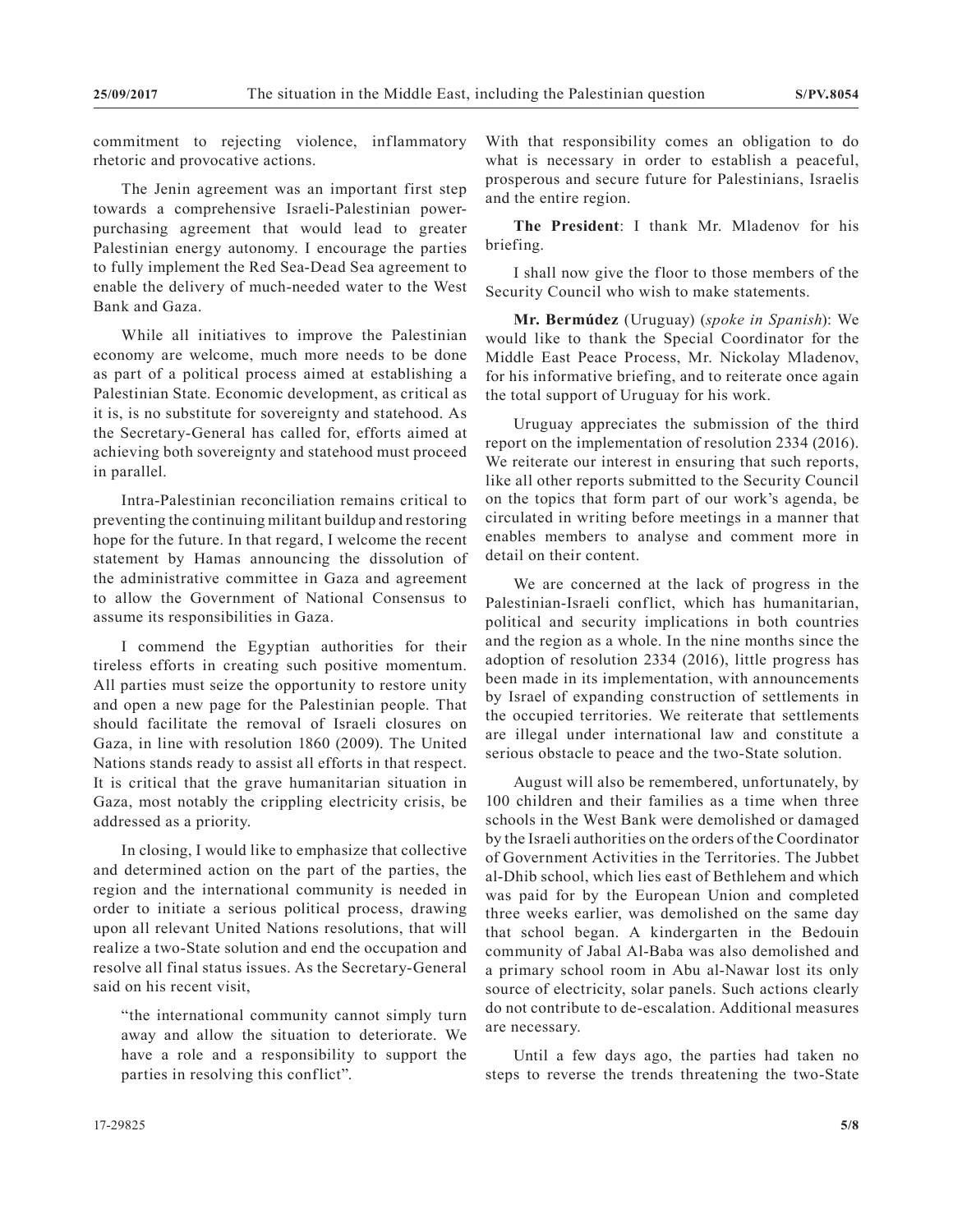commitment to rejecting violence, inflammatory rhetoric and provocative actions.

The Jenin agreement was an important first step towards a comprehensive Israeli-Palestinian powerpurchasing agreement that would lead to greater Palestinian energy autonomy. I encourage the parties to fully implement the Red Sea-Dead Sea agreement to enable the delivery of much-needed water to the West Bank and Gaza.

While all initiatives to improve the Palestinian economy are welcome, much more needs to be done as part of a political process aimed at establishing a Palestinian State. Economic development, as critical as it is, is no substitute for sovereignty and statehood. As the Secretary-General has called for, efforts aimed at achieving both sovereignty and statehood must proceed in parallel.

Intra-Palestinian reconciliation remains critical to preventing the continuing militant buildup and restoring hope for the future. In that regard, I welcome the recent statement by Hamas announcing the dissolution of the administrative committee in Gaza and agreement to allow the Government of National Consensus to assume its responsibilities in Gaza.

I commend the Egyptian authorities for their tireless efforts in creating such positive momentum. All parties must seize the opportunity to restore unity and open a new page for the Palestinian people. That should facilitate the removal of Israeli closures on Gaza, in line with resolution 1860 (2009). The United Nations stands ready to assist all efforts in that respect. It is critical that the grave humanitarian situation in Gaza, most notably the crippling electricity crisis, be addressed as a priority.

In closing, I would like to emphasize that collective and determined action on the part of the parties, the region and the international community is needed in order to initiate a serious political process, drawing upon all relevant United Nations resolutions, that will realize a two-State solution and end the occupation and resolve all final status issues. As the Secretary-General said on his recent visit,

"the international community cannot simply turn away and allow the situation to deteriorate. We have a role and a responsibility to support the parties in resolving this conflict".

With that responsibility comes an obligation to do what is necessary in order to establish a peaceful, prosperous and secure future for Palestinians, Israelis and the entire region.

**The President**: I thank Mr. Mladenov for his briefing.

I shall now give the floor to those members of the Security Council who wish to make statements.

**Mr. Bermúdez** (Uruguay) (*spoke in Spanish*): We would like to thank the Special Coordinator for the Middle East Peace Process, Mr. Nickolay Mladenov, for his informative briefing, and to reiterate once again the total support of Uruguay for his work.

Uruguay appreciates the submission of the third report on the implementation of resolution 2334 (2016). We reiterate our interest in ensuring that such reports, like all other reports submitted to the Security Council on the topics that form part of our work's agenda, be circulated in writing before meetings in a manner that enables members to analyse and comment more in detail on their content.

We are concerned at the lack of progress in the Palestinian-Israeli conflict, which has humanitarian, political and security implications in both countries and the region as a whole. In the nine months since the adoption of resolution 2334 (2016), little progress has been made in its implementation, with announcements by Israel of expanding construction of settlements in the occupied territories. We reiterate that settlements are illegal under international law and constitute a serious obstacle to peace and the two-State solution.

August will also be remembered, unfortunately, by 100 children and their families as a time when three schools in the West Bank were demolished or damaged by the Israeli authorities on the orders of the Coordinator of Government Activities in the Territories. The Jubbet al-Dhib school, which lies east of Bethlehem and which was paid for by the European Union and completed three weeks earlier, was demolished on the same day that school began. A kindergarten in the Bedouin community of Jabal Al-Baba was also demolished and a primary school room in Abu al-Nawar lost its only source of electricity, solar panels. Such actions clearly do not contribute to de-escalation. Additional measures are necessary.

Until a few days ago, the parties had taken no steps to reverse the trends threatening the two-State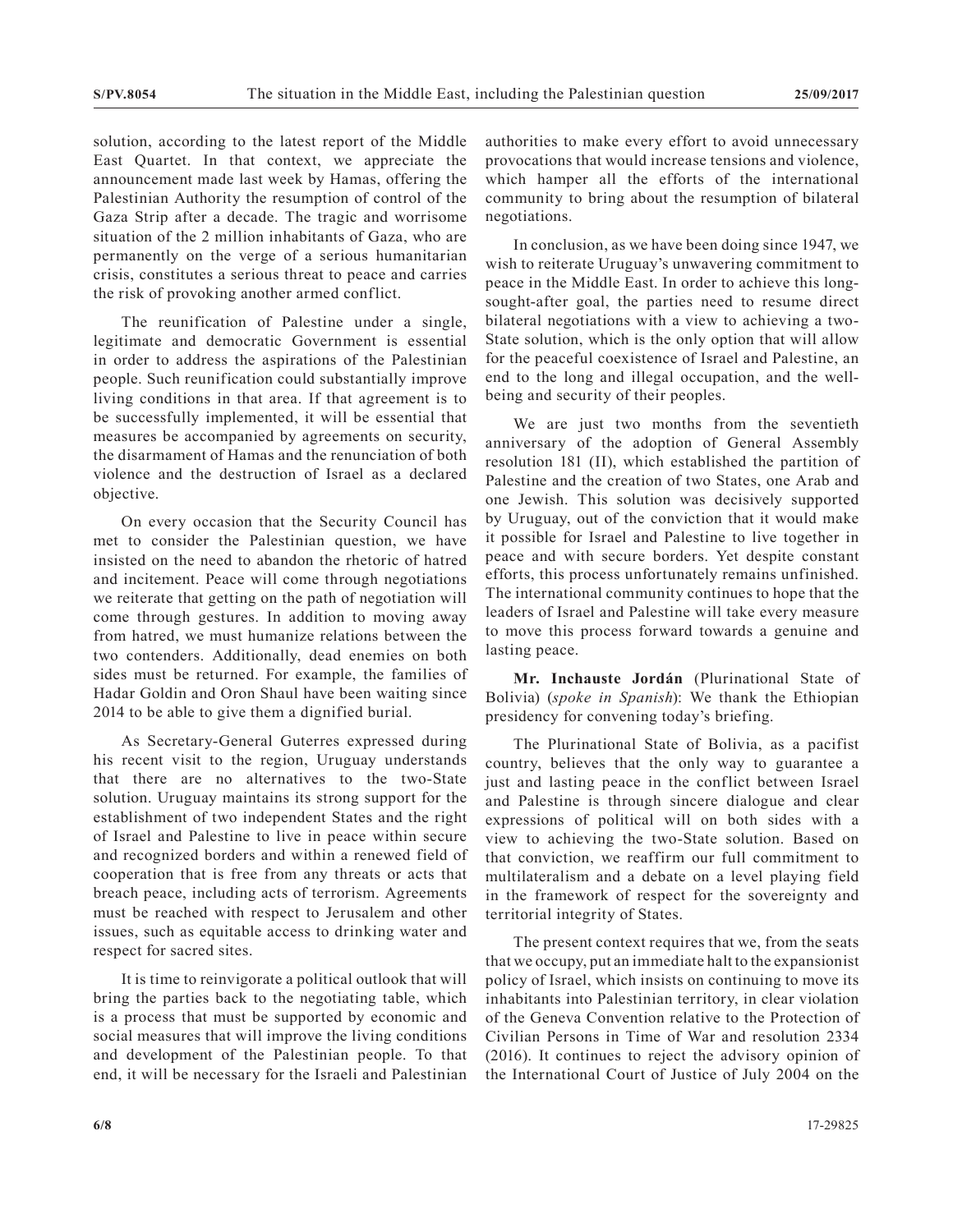solution, according to the latest report of the Middle East Quartet. In that context, we appreciate the announcement made last week by Hamas, offering the Palestinian Authority the resumption of control of the Gaza Strip after a decade. The tragic and worrisome situation of the 2 million inhabitants of Gaza, who are permanently on the verge of a serious humanitarian crisis, constitutes a serious threat to peace and carries the risk of provoking another armed conflict.

The reunification of Palestine under a single, legitimate and democratic Government is essential in order to address the aspirations of the Palestinian people. Such reunification could substantially improve living conditions in that area. If that agreement is to be successfully implemented, it will be essential that measures be accompanied by agreements on security, the disarmament of Hamas and the renunciation of both violence and the destruction of Israel as a declared objective.

On every occasion that the Security Council has met to consider the Palestinian question, we have insisted on the need to abandon the rhetoric of hatred and incitement. Peace will come through negotiations we reiterate that getting on the path of negotiation will come through gestures. In addition to moving away from hatred, we must humanize relations between the two contenders. Additionally, dead enemies on both sides must be returned. For example, the families of Hadar Goldin and Oron Shaul have been waiting since 2014 to be able to give them a dignified burial.

As Secretary-General Guterres expressed during his recent visit to the region, Uruguay understands that there are no alternatives to the two-State solution. Uruguay maintains its strong support for the establishment of two independent States and the right of Israel and Palestine to live in peace within secure and recognized borders and within a renewed field of cooperation that is free from any threats or acts that breach peace, including acts of terrorism. Agreements must be reached with respect to Jerusalem and other issues, such as equitable access to drinking water and respect for sacred sites.

It is time to reinvigorate a political outlook that will bring the parties back to the negotiating table, which is a process that must be supported by economic and social measures that will improve the living conditions and development of the Palestinian people. To that end, it will be necessary for the Israeli and Palestinian authorities to make every effort to avoid unnecessary provocations that would increase tensions and violence, which hamper all the efforts of the international community to bring about the resumption of bilateral negotiations.

In conclusion, as we have been doing since 1947, we wish to reiterate Uruguay's unwavering commitment to peace in the Middle East. In order to achieve this longsought-after goal, the parties need to resume direct bilateral negotiations with a view to achieving a two-State solution, which is the only option that will allow for the peaceful coexistence of Israel and Palestine, an end to the long and illegal occupation, and the wellbeing and security of their peoples.

We are just two months from the seventieth anniversary of the adoption of General Assembly resolution 181 (II), which established the partition of Palestine and the creation of two States, one Arab and one Jewish. This solution was decisively supported by Uruguay, out of the conviction that it would make it possible for Israel and Palestine to live together in peace and with secure borders. Yet despite constant efforts, this process unfortunately remains unfinished. The international community continues to hope that the leaders of Israel and Palestine will take every measure to move this process forward towards a genuine and lasting peace.

**Mr. Inchauste Jordán** (Plurinational State of Bolivia) (*spoke in Spanish*): We thank the Ethiopian presidency for convening today's briefing.

The Plurinational State of Bolivia, as a pacifist country, believes that the only way to guarantee a just and lasting peace in the conflict between Israel and Palestine is through sincere dialogue and clear expressions of political will on both sides with a view to achieving the two-State solution. Based on that conviction, we reaffirm our full commitment to multilateralism and a debate on a level playing field in the framework of respect for the sovereignty and territorial integrity of States.

The present context requires that we, from the seats that we occupy, put an immediate halt to the expansionist policy of Israel, which insists on continuing to move its inhabitants into Palestinian territory, in clear violation of the Geneva Convention relative to the Protection of Civilian Persons in Time of War and resolution 2334 (2016). It continues to reject the advisory opinion of the International Court of Justice of July 2004 on the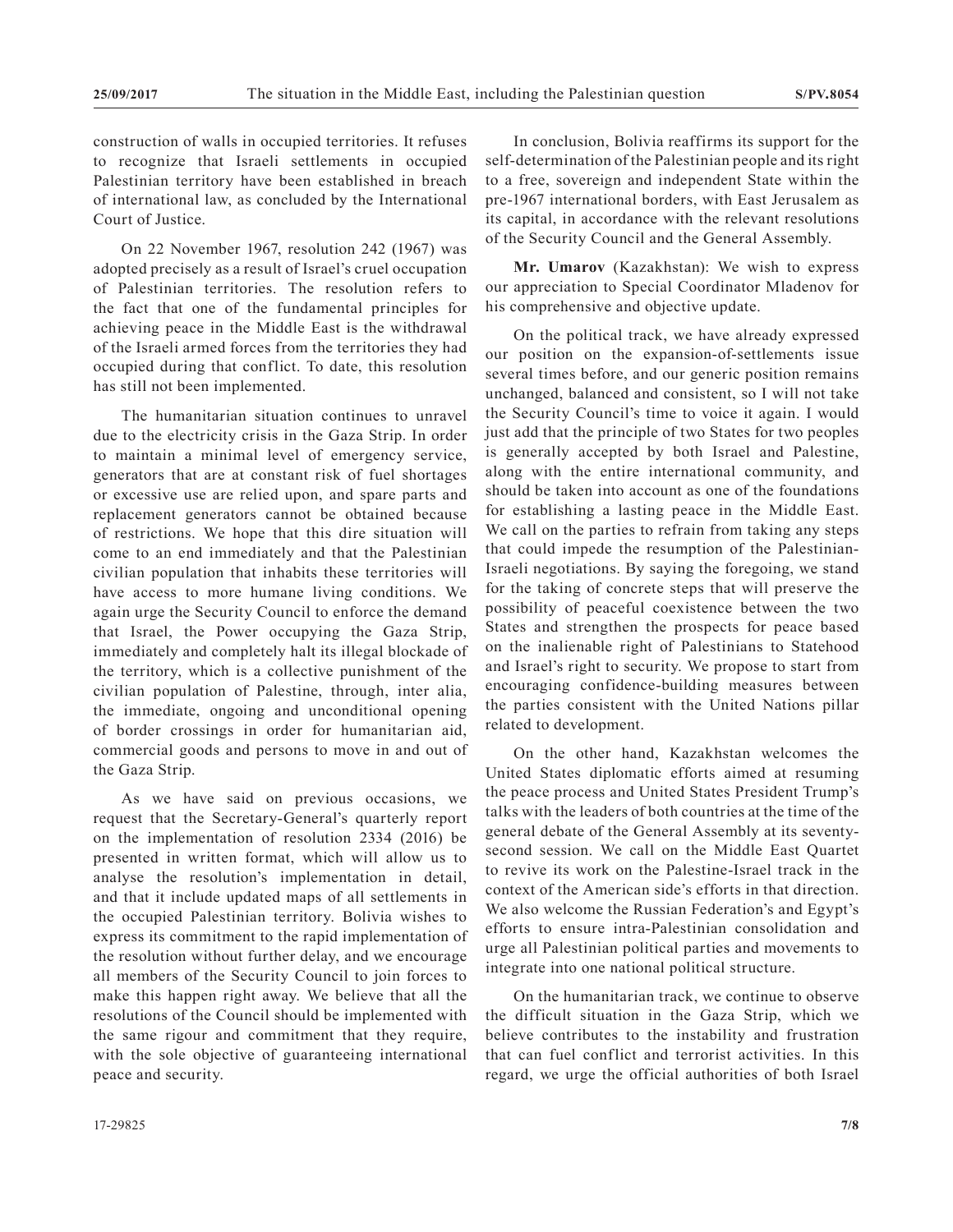construction of walls in occupied territories. It refuses to recognize that Israeli settlements in occupied Palestinian territory have been established in breach of international law, as concluded by the International Court of Justice.

On 22 November 1967, resolution 242 (1967) was adopted precisely as a result of Israel's cruel occupation of Palestinian territories. The resolution refers to the fact that one of the fundamental principles for achieving peace in the Middle East is the withdrawal of the Israeli armed forces from the territories they had occupied during that conflict. To date, this resolution has still not been implemented.

The humanitarian situation continues to unravel due to the electricity crisis in the Gaza Strip. In order to maintain a minimal level of emergency service, generators that are at constant risk of fuel shortages or excessive use are relied upon, and spare parts and replacement generators cannot be obtained because of restrictions. We hope that this dire situation will come to an end immediately and that the Palestinian civilian population that inhabits these territories will have access to more humane living conditions. We again urge the Security Council to enforce the demand that Israel, the Power occupying the Gaza Strip, immediately and completely halt its illegal blockade of the territory, which is a collective punishment of the civilian population of Palestine, through, inter alia, the immediate, ongoing and unconditional opening of border crossings in order for humanitarian aid, commercial goods and persons to move in and out of the Gaza Strip.

As we have said on previous occasions, we request that the Secretary-General's quarterly report on the implementation of resolution 2334 (2016) be presented in written format, which will allow us to analyse the resolution's implementation in detail, and that it include updated maps of all settlements in the occupied Palestinian territory. Bolivia wishes to express its commitment to the rapid implementation of the resolution without further delay, and we encourage all members of the Security Council to join forces to make this happen right away. We believe that all the resolutions of the Council should be implemented with the same rigour and commitment that they require, with the sole objective of guaranteeing international peace and security.

In conclusion, Bolivia reaffirms its support for the self-determination of the Palestinian people and its right to a free, sovereign and independent State within the pre-1967 international borders, with East Jerusalem as its capital, in accordance with the relevant resolutions of the Security Council and the General Assembly.

**Mr. Umarov** (Kazakhstan): We wish to express our appreciation to Special Coordinator Mladenov for his comprehensive and objective update.

On the political track, we have already expressed our position on the expansion-of-settlements issue several times before, and our generic position remains unchanged, balanced and consistent, so I will not take the Security Council's time to voice it again. I would just add that the principle of two States for two peoples is generally accepted by both Israel and Palestine, along with the entire international community, and should be taken into account as one of the foundations for establishing a lasting peace in the Middle East. We call on the parties to refrain from taking any steps that could impede the resumption of the Palestinian-Israeli negotiations. By saying the foregoing, we stand for the taking of concrete steps that will preserve the possibility of peaceful coexistence between the two States and strengthen the prospects for peace based on the inalienable right of Palestinians to Statehood and Israel's right to security. We propose to start from encouraging confidence-building measures between the parties consistent with the United Nations pillar related to development.

On the other hand, Kazakhstan welcomes the United States diplomatic efforts aimed at resuming the peace process and United States President Trump's talks with the leaders of both countries at the time of the general debate of the General Assembly at its seventysecond session. We call on the Middle East Quartet to revive its work on the Palestine-Israel track in the context of the American side's efforts in that direction. We also welcome the Russian Federation's and Egypt's efforts to ensure intra-Palestinian consolidation and urge all Palestinian political parties and movements to integrate into one national political structure.

On the humanitarian track, we continue to observe the difficult situation in the Gaza Strip, which we believe contributes to the instability and frustration that can fuel conflict and terrorist activities. In this regard, we urge the official authorities of both Israel